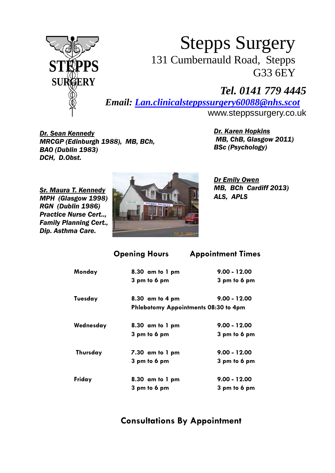

## 131 Cumbernauld Road, Stepps G33 6EY Stepps Surgery

## *Tel. 0141 779 4445*

*Email: [Lan.clinicalsteppssurgery60088@nhs.scot](mailto:Lan.clinicalsteppssurgery60088@nhs.scot)* 

<www.steppssurgery.co.uk>

**MRCGP (Edinburgh 1988), MB, BCh, MB, ChB, ChB, Glasgow 2011)**  *DCH, D.Obst. Dr. Sean Kennedy Dr. Karen Hopkins BAO (Dublin 1983) BSc (Psychology)* 

**MB, ChB, Glasgow 2011)** 

 *Practice Nurse Cert.., Family Planning Cert., Dip. Asthma Care. RGN (Dublin 1986)* 



 *Dr Emily Owen*  **MB. BCh Cardiff 2013)** 

**Opening Hours Appointment Times** 

| Monday    | $8.30$ am to $1$ pm                  | $9.00 - 12.00$ |
|-----------|--------------------------------------|----------------|
|           | 3 pm to 6 pm                         | 3 pm to 6 pm   |
| Tuesday   | $8.30$ am to 4 pm                    | $9.00 - 12.00$ |
|           | Phlebotomy Appointments 08:30 to 4pm |                |
| Wednesday | $8.30$ am to $1$ pm                  | $9.00 - 12.00$ |
|           | 3 pm to 6 pm                         | 3 pm to 6 pm   |
| Thursday  | $7.30$ am to $1$ pm                  | $9.00 - 12.00$ |
|           | 3 pm to 6 pm                         | 3 pm to 6 pm   |
| Friday    | $8.30$ am to $1$ pm                  | $9.00 - 12.00$ |
|           | 3 pm to 6 pm                         | 3 pm to 6 pm   |

**Consultations By Appointment**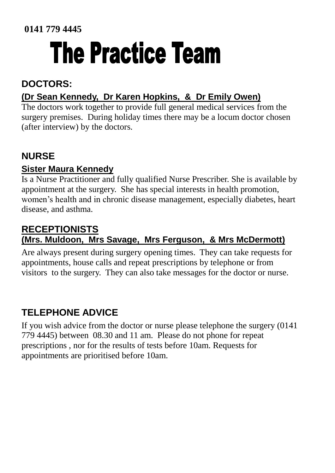# The Practice Team

## **DOCTORS:**

### **(Dr Sean Kennedy, Dr Karen Hopkins, & Dr Emily Owen)**

 The doctors work together to provide full general medical services from the (after interview) by the doctors. surgery premises. During holiday times there may be a locum doctor chosen

## **NURSE**

#### **Sister Maura Kennedy**

Is a Nurse Practitioner and fully qualified Nurse Prescriber. She is available by appointment at the surgery. She has special interests in health promotion, women's health and in chronic disease management, especially diabetes, heart disease, and asthma.

## **(Mrs. Muldoon, Mrs Savage, Mrs Ferguson, & Mrs McDermott) RECEPTIONISTS**

Are always present during surgery opening times. They can take requests for appointments, house calls and repeat prescriptions by telephone or from visitors to the surgery. They can also take messages for the doctor or nurse.

## **TELEPHONE ADVICE**

If you wish advice from the doctor or nurse please telephone the surgery (0141 779 4445) between 08.30 and 11 am. Please do not phone for repeat prescriptions , nor for the results of tests before 10am. Requests for appointments are prioritised before 10am.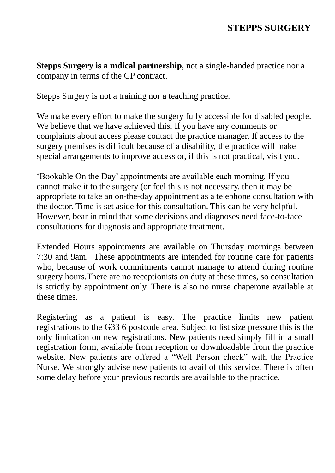#### **STEPPS SURGERY**

 **Stepps Surgery is a mdical partnership**, not a single-handed practice nor a company in terms of the GP contract.

Stepps Surgery is not a training nor a teaching practice.

We make every effort to make the surgery fully accessible for disabled people. We believe that we have achieved this. If you have any comments or complaints about access please contact the practice manager. If access to the surgery premises is difficult because of a disability, the practice will make special arrangements to improve access or, if this is not practical, visit you.

 However, bear in mind that some decisions and diagnoses need face-to-face 'Bookable On the Day' appointments are available each morning. If you cannot make it to the surgery (or feel this is not necessary, then it may be appropriate to take an on-the-day appointment as a telephone consultation with the doctor. Time is set aside for this consultation. This can be very helpful. consultations for diagnosis and appropriate treatment.

 Extended Hours appointments are available on Thursday mornings between 7:30 and 9am. These appointments are intended for routine care for patients who, because of work commitments cannot manage to attend during routine surgery hours.There are no receptionists on duty at these times, so consultation is strictly by appointment only. There is also no nurse chaperone available at these times.

 Registering as a patient is easy. The practice limits new patient registrations to the G33 6 postcode area. Subject to list size pressure this is the only limitation on new registrations. New patients need simply fill in a small registration form, available from reception or downloadable from the practice Nurse. We strongly advise new patients to avail of this service. There is often website. New patients are offered a "Well Person check" with the Practice some delay before your previous records are available to the practice.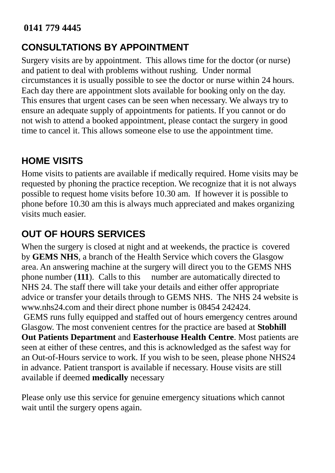## **CONSULTATIONS BY APPOINTMENT**

 circumstances it is usually possible to see the doctor or nurse within 24 hours. This ensures that urgent cases can be seen when necessary. We always try to Surgery visits are by appointment. This allows time for the doctor (or nurse) and patient to deal with problems without rushing. Under normal Each day there are appointment slots available for booking only on the day. ensure an adequate supply of appointments for patients. If you cannot or do not wish to attend a booked appointment, please contact the surgery in good time to cancel it. This allows someone else to use the appointment time.

## **HOME VISITS**

 possible to request home visits before 10.30 am. If however it is possible to Home visits to patients are available if medically required. Home visits may be requested by phoning the practice reception. We recognize that it is not always phone before 10.30 am this is always much appreciated and makes organizing visits much easier.

## **OUT OF HOURS SERVICES**

phone number  $(111)$ . Calls to this <www.nhs24.com>and their direct phone number is 08454 242424. available if deemed **medically** necessary When the surgery is closed at night and at weekends, the practice is covered by **GEMS NHS**, a branch of the Health Service which covers the Glasgow area. An answering machine at the surgery will direct you to the GEMS NHS number are automatically directed to NHS 24. The staff there will take your details and either offer appropriate advice or transfer your details through to GEMS NHS. The NHS 24 website is GEMS runs fully equipped and staffed out of hours emergency centres around Glasgow. The most convenient centres for the practice are based at **Stobhill Out Patients Department** and **Easterhouse Health Centre**. Most patients are seen at either of these centres, and this is acknowledged as the safest way for an Out-of-Hours service to work. If you wish to be seen, please phone NHS24 in advance. Patient transport is available if necessary. House visits are still

Please only use this service for genuine emergency situations which cannot wait until the surgery opens again.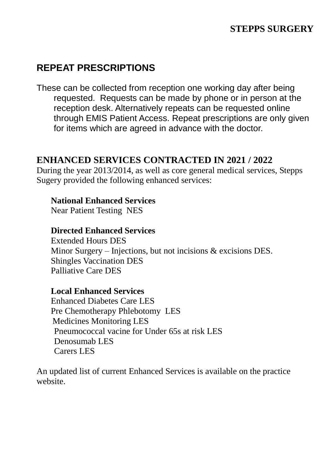### **REPEAT PRESCRIPTIONS**

 These can be collected from reception one working day after being requested. Requests can be made by phone or in person at the reception desk. Alternatively repeats can be requested online through EMIS Patient Access. Repeat prescriptions are only given for items which are agreed in advance with the doctor.

#### **ENHANCED SERVICES CONTRACTED IN 2021 / 2022**

 Sugery provided the following enhanced services: During the year 2013/2014, as well as core general medical services, Stepps

#### **National Enhanced Services**

Near Patient Testing NES

#### **Directed Enhanced Services**

 Minor Surgery – Injections, but not incisions & excisions DES. Extended Hours DES Shingles Vaccination DES Palliative Care DES

#### **Local Enhanced Services**

Enhanced Diabetes Care LES Pre Chemotherapy Phlebotomy LES Medicines Monitoring LES Pneumococcal vacine for Under 65s at risk LES Denosumab LES Carers LES

An updated list of current Enhanced Services is available on the practice website.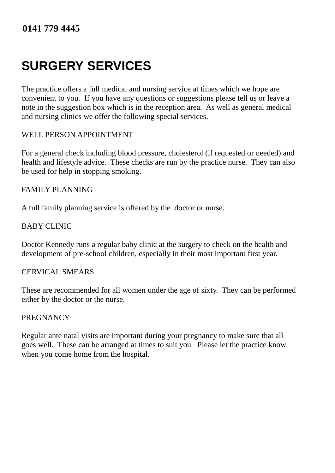## **SURGERY SERVICES**

 The practice offers a full medical and nursing service at times which we hope are convenient to you. If you have any questions or suggestions please tell us or leave a note in the suggestion box which is in the reception area. As well as general medical and nursing clinics we offer the following special services.

#### WELL PERSON APPOINTMENT

 For a general check including blood pressure, cholesterol (if requested or needed) and health and lifestyle advice. These checks are run by the practice nurse. They can also be used for help in stopping smoking.

#### FAMILY PLANNING

A full family planning service is offered by the doctor or nurse.

#### BABY CLINIC

 Doctor Kennedy runs a regular baby clinic at the surgery to check on the health and development of pre-school children, especially in their most important first year.

#### CERVICAL SMEARS

 These are recommended for all women under the age of sixty. They can be performed either by the doctor or the nurse.

#### **PREGNANCY**

 Regular ante natal visits are important during your pregnancy to make sure that all goes well. These can be arranged at times to suit you Please let the practice know when you come home from the hospital.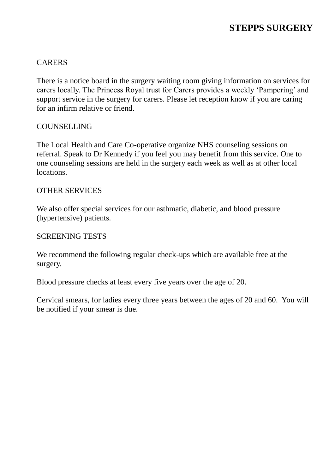#### CARERS

 There is a notice board in the surgery waiting room giving information on services for carers locally. The Princess Royal trust for Carers provides a weekly 'Pampering' and support service in the surgery for carers. Please let reception know if you are caring for an infirm relative or friend.

#### COUNSELLING

 The Local Health and Care Co-operative organize NHS counseling sessions on referral. Speak to Dr Kennedy if you feel you may benefit from this service. One to one counseling sessions are held in the surgery each week as well as at other local locations

## locations.<br>OTHER SERVICES

 We also offer special services for our asthmatic, diabetic, and blood pressure (hypertensive) patients.

#### SCREENING TESTS

 We recommend the following regular check-ups which are available free at the surgery.

Blood pressure checks at least every five years over the age of 20.

 Cervical smears, for ladies every three years between the ages of 20 and 60. You will be notified if your smear is due.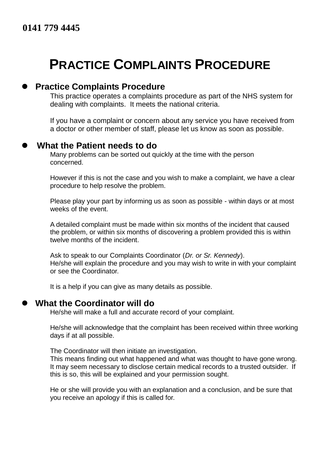## **PRACTICE COMPLAINTS PROCEDURE**

#### **Practice Complaints Procedure**

 dealing with complaints. It meets the national criteria. This practice operates a complaints procedure as part of the NHS system for

 a doctor or other member of staff, please let us know as soon as possible. If you have a complaint or concern about any service you have received from

#### **What the Patient needs to do**

 Many problems can be sorted out quickly at the time with the person concerned.

 However if this is not the case and you wish to make a complaint, we have a clear procedure to help resolve the problem.

 Please play your part by informing us as soon as possible - within days or at most weeks of the event.

 A detailed complaint must be made within six months of the incident that caused the problem, or within six months of discovering a problem provided this is within twelve months of the incident.

 Ask to speak to our Complaints Coordinator (*Dr. or Sr. Kennedy*). He/she will explain the procedure and you may wish to write in with your complaint or see the Coordinator.

It is a help if you can give as many details as possible.

#### **What the Coordinator will do**

He/she will make a full and accurate record of your complaint.

 He/she will acknowledge that the complaint has been received within three working days if at all possible.

The Coordinator will then initiate an investigation.

 This means finding out what happened and what was thought to have gone wrong. It may seem necessary to disclose certain medical records to a trusted outsider. If this is so, this will be explained and your permission sought.

 He or she will provide you with an explanation and a conclusion, and be sure that you receive an apology if this is called for.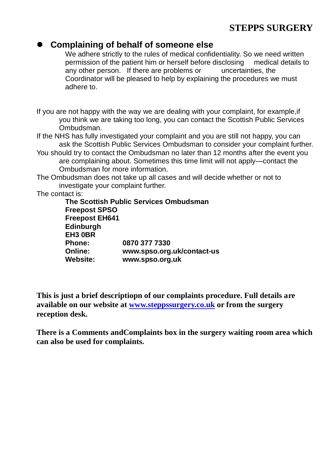#### **STEPPS SURGERY**

#### **Complaining of behalf of someone else**

 We adhere strictly to the rules of medical confidentiality. So we need written permission of the patient him or herself before disclosing medical details to any other person. If there are problems or uncertainties, the Coordinator will be pleased to help by explaining the procedures we must adhere to.

 If you are not happy with the way we are dealing with your complaint, for example,if you think we are taking too long, you can contact the Scottish Public Services Ombudsman.

- If the NHS has fully investigated your complaint and you are still not happy, you can ask the Scottish Public Services Ombudsman to consider your complaint further.
- You should try to contact the Ombudsman no later than 12 months after the event you are complaining about. Sometimes this time limit will not apply—contact the Ombudsman for more information.
- The Ombudsman does not take up all cases and will decide whether or not to investigate your complaint further.

The contact is:

Phone: Online: **The Scottish Public Services Ombudsman Freepost SPSO Freepost EH641 Edinburgh EH3 0BR Phone: 0870 377 7330 Online: www.spso.org.uk/contact-us Website: www.spso.org.uk** 

 **This is just a brief descriptiopn of our complaints procedure. Full details are available on our website at [www.steppssurgery.co.uk](http://www.steppssurgery.co.uk/) or from the surgery reception desk.** 

 **There is a Comments andComplaints box in the surgery waiting room area which can also be used for complaints.**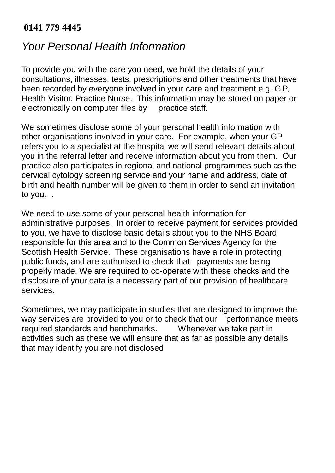## *Your Personal Health Information*

 consultations, illnesses, tests, prescriptions and other treatments that have been recorded by everyone involved in your care and treatment e.g. G.P, Health Visitor, Practice Nurse. This information may be stored on paper or electronically on computer files by practice staff. To provide you with the care you need, we hold the details of your

 other organisations involved in your care. For example, when your GP refers you to a specialist at the hospital we will send relevant details about you in the referral letter and receive information about you from them. Our cervical cytology screening service and your name and address, date of birth and health number will be given to them in order to send an invitation to you. . We sometimes disclose some of your personal health information with practice also participates in regional and national programmes such as the

 administrative purposes. In order to receive payment for services provided Scottish Health Service. These organisations have a role in protecting public funds, and are authorised to check that payments are being properly made. We are required to co-operate with these checks and the disclosure of your data is a necessary part of our provision of healthcare services We need to use some of your personal health information for to you, we have to disclose basic details about you to the NHS Board responsible for this area and to the Common Services Agency for the

services.<br>Sometimes, we may participate in studies that are designed to improve the way services are provided to you or to check that our performance meets required standards and benchmarks. Whenever we take part in activities such as these we will ensure that as far as possible any details that may identify you are not disclosed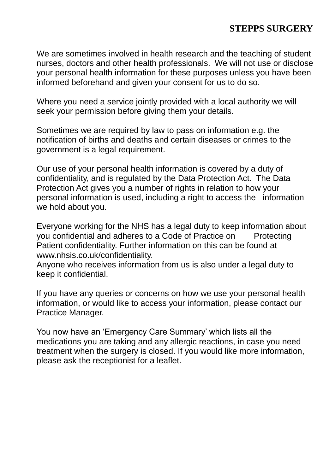#### **STEPPS SURGERY**

 We are sometimes involved in health research and the teaching of student nurses, doctors and other health professionals. We will not use or disclose your personal health information for these purposes unless you have been informed beforehand and given your consent for us to do so.

 Where you need a service jointly provided with a local authority we will seek your permission before giving them your details.

 Sometimes we are required by law to pass on information e.g. the government is a legal requirement. notification of births and deaths and certain diseases or crimes to the

 Our use of your personal health information is covered by a duty of confidentiality, and is regulated by the Data Protection Act. The Data Protection Act gives you a number of rights in relation to how your personal information is used, including a right to access the information we hold about you.

 Everyone working for the NHS has a legal duty to keep information about you confidential and adheres to a Code of Practice on Protecting Patient confidentiality. Further information on this can be found at [www.nhsis.co.uk/confidentiality.](www.nhsis.co.uk/confidentiality)

 Anyone who receives information from us is also under a legal duty to keep it confidential.

keep it confidential.<br>If you have any queries or concerns on how we use your personal health information, or would like to access your information, please contact our Practice Manager.

 You now have an 'Emergency Care Summary' which lists all the treatment when the surgery is closed. If you would like more information, medications you are taking and any allergic reactions, in case you need please ask the receptionist for a leaflet.